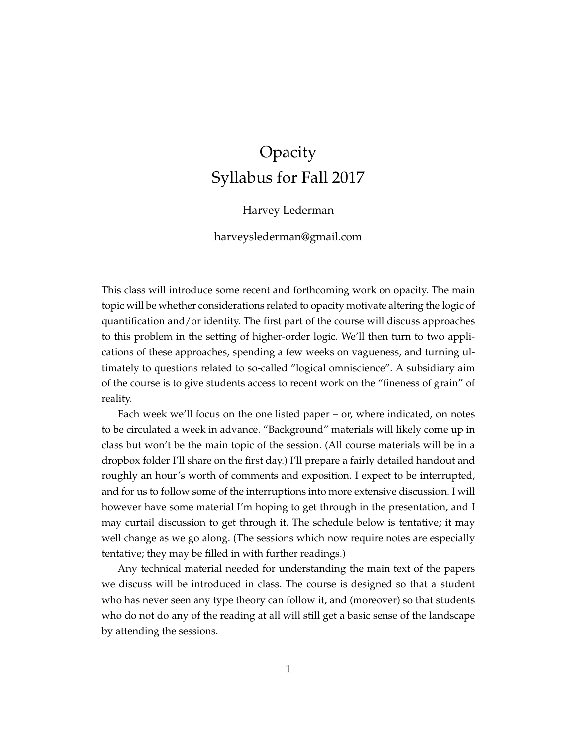# Opacity Syllabus for Fall 2017

### Harvey Lederman

harveyslederman@gmail.com

This class will introduce some recent and forthcoming work on opacity. The main topic will be whether considerations related to opacity motivate altering the logic of quantification and/or identity. The first part of the course will discuss approaches to this problem in the setting of higher-order logic. We'll then turn to two applications of these approaches, spending a few weeks on vagueness, and turning ultimately to questions related to so-called "logical omniscience". A subsidiary aim of the course is to give students access to recent work on the "fineness of grain" of reality.

Each week we'll focus on the one listed paper – or, where indicated, on notes to be circulated a week in advance. "Background" materials will likely come up in class but won't be the main topic of the session. (All course materials will be in a dropbox folder I'll share on the first day.) I'll prepare a fairly detailed handout and roughly an hour's worth of comments and exposition. I expect to be interrupted, and for us to follow some of the interruptions into more extensive discussion. I will however have some material I'm hoping to get through in the presentation, and I may curtail discussion to get through it. The schedule below is tentative; it may well change as we go along. (The sessions which now require notes are especially tentative; they may be filled in with further readings.)

Any technical material needed for understanding the main text of the papers we discuss will be introduced in class. The course is designed so that a student who has never seen any type theory can follow it, and (moreover) so that students who do not do any of the reading at all will still get a basic sense of the landscape by attending the sessions.